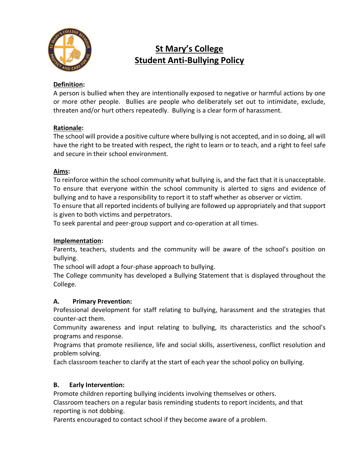

# **St Mary's College Student Anti-Bullying Policy**

### **Definition:**

A person is bullied when they are intentionally exposed to negative or harmful actions by one or more other people. Bullies are people who deliberately set out to intimidate, exclude, threaten and/or hurt others repeatedly. Bullying is a clear form of harassment.

#### **Rationale:**

The school will provide a positive culture where bullying is not accepted, and in so doing, all will have the right to be treated with respect, the right to learn or to teach, and a right to feel safe and secure in their school environment.

#### **Aims:**

To reinforce within the school community what bullying is, and the fact that it is unacceptable. To ensure that everyone within the school community is alerted to signs and evidence of bullying and to have a responsibility to report it to staff whether as observer or victim.

To ensure that all reported incidents of bullying are followed up appropriately and that support is given to both victims and perpetrators.

To seek parental and peer-group support and co-operation at all times.

#### **Implementation:**

Parents, teachers, students and the community will be aware of the school's position on bullying.

The school will adopt a four-phase approach to bullying.

The College community has developed a Bullying Statement that is displayed throughout the College.

#### **A. Primary Prevention:**

Professional development for staff relating to bullying, harassment and the strategies that counter-act them.

Community awareness and input relating to bullying, its characteristics and the school's programs and response.

Programs that promote resilience, life and social skills, assertiveness, conflict resolution and problem solving.

Each classroom teacher to clarify at the start of each year the school policy on bullying.

#### **B. Early Intervention:**

Promote children reporting bullying incidents involving themselves or others.

Classroom teachers on a regular basis reminding students to report incidents, and that reporting is not dobbing.

Parents encouraged to contact school if they become aware of a problem.